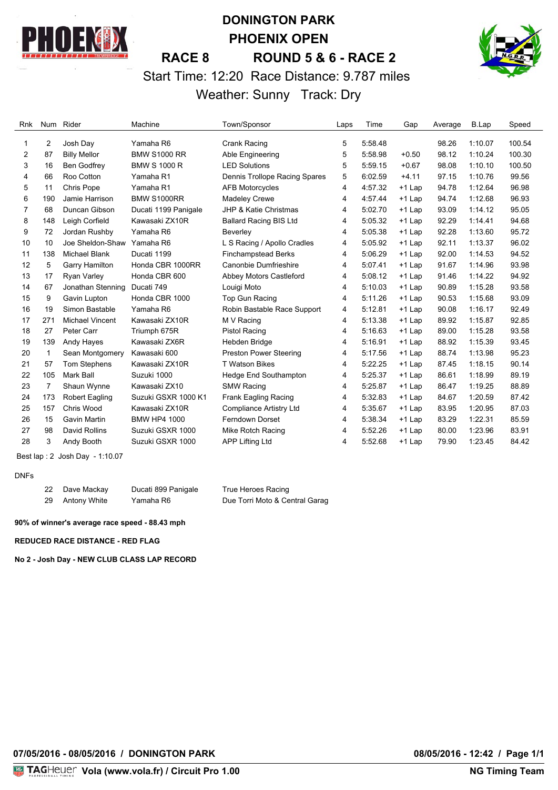

# **DONINGTON PARK PHOENIX OPEN RACE 8 ROUND 5 & 6 - RACE 2** Start Time: 12:20 Race Distance: 9.787 miles Weather: Sunny Track: Dry



#### Rnk Num Rider Machine Town/Sponsor Laps Time Gap Average B.Lap Speed 2 Josh Day Yamaha R6 Crank Racing 5 5:58.48 98.26 1:10.07 100.54 87 Billy Mellor BMW S1000 RR Able Engineering 5 5:58.98 +0.50 98.12 1:10.24 100.30 16 Ben Godfrey BMW S 1000 R LED Solutions 5 5:59.15 +0.67 98.08 1:10.10 100.50 66 Roo Cotton Yamaha R1 Dennis Trollope Racing Spares 5 6:02.59 +4.11 97.15 1:10.76 99.56 11 Chris Pope Yamaha R1 AFB Motorcycles 4 4:57.32 +1 Lap 94.78 1:12.64 96.98 190 Jamie Harrison BMW S1000RR Madeley Crewe 4 4:57.44 +1 Lap 94.74 1:12.68 96.93 68 Duncan Gibson Ducati 1199 Panigale JHP & Katie Christmas 4 5:02.70 +1 Lap 93.09 1:14.12 95.05 148 Leigh Corfield Kawasaki ZX10R Ballard Racing BIS Ltd 4 5:05.32 +1 Lap 92.29 1:14.41 94.68 72 Jordan Rushby Yamaha R6 Beverley 4 5:05.38 +1 Lap 92.28 1:13.60 95.72 10 Joe Sheldon-Shaw Yamaha R6 L S Racing / Apollo Cradles 4 5:05.92 +1 Lap 92.11 1:13.37 96.02 138 Michael Blank Ducati 1199 Finchampstead Berks 4 5:06.29 +1 Lap 92.00 1:14.53 94.52 5 Garry Hamilton Honda CBR 1000RR Canonbie Dumfrieshire 4 5:07.41 +1 Lap 91.67 1:14.96 93.98 17 Ryan Varley Honda CBR 600 Abbey Motors Castleford 4 5:08.12 +1 Lap 91.46 1:14.22 94.92 67 Jonathan Stenning Ducati 749 Louigi Moto 4 5:10.03 +1 Lap 90.89 1:15.28 93.58 9 Gavin Lupton Honda CBR 1000 Top Gun Racing 4 5:11.26 +1 Lap 90.53 1:15.68 93.09 19 Simon Bastable Yamaha R6 Robin Bastable Race Support 4 5:12.81 +1 Lap 90.08 1:16.17 92.49 271 Michael Vincent Kawasaki ZX10R M V Racing 4 5:13.38 +1 Lap 89.92 1:15.87 92.85 27 Peter Carr Triumph 675R Pistol Racing 4 5:16.63 +1 Lap 89.00 1:15.28 93.58 139 Andy Hayes Kawasaki ZX6R Hebden Bridge 4 5:16.91 +1 Lap 88.92 1:15.39 93.45 1 Sean Montgomery Kawasaki 600 Preston Power Steering 4 5:17.56 +1 Lap 88.74 1:13.98 95.23 57 Tom Stephens Kawasaki ZX10R T Watson Bikes 4 5:22.25 +1 Lap 87.45 1:18.15 90.14 105 Mark Ball Suzuki 1000 Hedge End Southampton 4 5:25.37 +1 Lap 86.61 1:18.99 89.19 7 Shaun Wynne Kawasaki ZX10 SMW Racing 4 5:25.87 +1 Lap 86.47 1:19.25 88.89 173 Robert Eagling Suzuki GSXR 1000 K1 Frank Eagling Racing 4 5:32.83 +1 Lap 84.67 1:20.59 87.42 157 Chris Wood Kawasaki ZX10R Compliance Artistry Ltd 4 5:35.67 +1 Lap 83.95 1:20.95 87.03 15 Gavin Martin BMW HP4 1000 Ferndown Dorset 4 5:38.34 +1 Lap 83.29 1:22.31 85.59 98 David Rollins Suzuki GSXR 1000 Mike Rotch Racing 4 5:52.26 +1 Lap 80.00 1:23.96 83.91 3 Andy Booth Suzuki GSXR 1000 APP Lifting Ltd 4 5:52.68 +1 Lap 79.90 1:23.45 84.42

Best lap : 2 Josh Day - 1:10.07

#### DNFs

| -22 | Dave Mackay  | Ducati 899 Panigale | True Heroes Racing             |
|-----|--------------|---------------------|--------------------------------|
| -29 | Antony White | Yamaha R6           | Due Torri Moto & Central Garag |

#### **90% of winner's average race speed - 88.43 mph**

**REDUCED RACE DISTANCE - RED FLAG**

**No 2 - Josh Day - NEW CLUB CLASS LAP RECORD**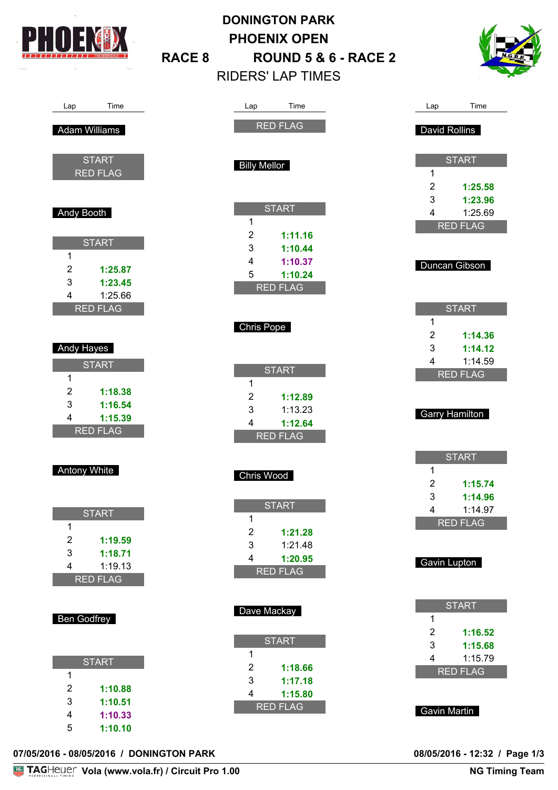

Lap Time

Adam Williams

Andy Booth

Andy Hayes

Antony White

Ben Godfrey

1

1

**START** 

2 **1:19.59** 3 **1:18.71** 4 1:19.13 RED FLAG

1

1

**START** RED FLAG

**START** 

2 **1:25.87** 3 **1:23.45** 4 1:25.66 RED FLAG

**START** 

2 **1:18.38** 3 **1:16.54** 4 **1:15.39** RED FLAG

# **DONINGTON PARK PHOENIX OPEN RACE 8 ROUND 5 & 6 - RACE 2** RIDERS' LAP TIMES



| Lap                     | Time                       | Lap                   | Time               |
|-------------------------|----------------------------|-----------------------|--------------------|
|                         | <b>RED FLAG</b>            | David Rollins         |                    |
|                         |                            |                       |                    |
| <b>Billy Mellor</b>     |                            |                       | <b>START</b>       |
|                         |                            | 1                     |                    |
|                         |                            | $\overline{2}$<br>3   | 1:25.58<br>1:23.96 |
|                         | <b>START</b>               | 4                     | 1:25.69            |
| 1                       |                            |                       | <b>RED FLAG</b>    |
| $\overline{2}$          | 1:11.16                    |                       |                    |
| 3                       | 1:10.44                    |                       |                    |
| 4                       | 1:10.37                    |                       | Duncan Gibson      |
| 5                       | 1:10.24<br><b>RED FLAG</b> |                       |                    |
|                         |                            |                       |                    |
|                         |                            |                       | <b>START</b>       |
| <b>Chris Pope</b>       |                            | 1                     |                    |
|                         |                            | $\overline{2}$        | 1:14.36            |
|                         |                            | 3<br>4                | 1:14.12<br>1:14.59 |
|                         | <b>START</b>               |                       | <b>RED FLAG</b>    |
| 1                       |                            |                       |                    |
| $\overline{2}$          | 1:12.89                    |                       |                    |
| 3                       | 1:13.23                    |                       |                    |
|                         |                            | <b>Garry Hamilton</b> |                    |
| 4                       | 1:12.64                    |                       |                    |
|                         | <b>RED FLAG</b>            |                       |                    |
|                         |                            |                       | <b>START</b>       |
| <b>Chris Wood</b>       |                            | 1                     |                    |
|                         |                            | $\overline{2}$        | 1:15.74            |
|                         | <b>START</b>               | 3                     | 1:14.96            |
| 1                       |                            | 4                     | 1:14.97            |
| $\overline{2}$          | 1:21.28                    |                       | <b>RED FLAG</b>    |
| 3                       | 1:21.48                    |                       |                    |
| $\overline{\mathbf{4}}$ | 1:20.95                    | Gavin Lupton          |                    |
|                         | <b>RED FLAG</b>            |                       |                    |
|                         |                            |                       |                    |
|                         |                            |                       | <b>START</b>       |
| Dave Mackay             |                            | 1                     |                    |
|                         |                            | $\overline{2}$        | 1:16.52            |
| $\mathbf{1}$            | <b>START</b>               | 3                     | 1:15.68            |
| $\overline{2}$          | 1:18.66                    | 4                     | 1:15.79            |
| 3                       | 1:17.18                    |                       | <b>RED FLAG</b>    |
| $\overline{4}$          | 1:15.80                    |                       |                    |
|                         | <b>RED FLAG</b>            | <b>Gavin Martin</b>   |                    |

**07/05/2016 - 08/05/2016 / DONINGTON PARK 08/05/2016 - 12:32 / Page 1/3**

**START** 

2 **1:10.88** 3 **1:10.51** 4 **1:10.33** 5 **1:10.10**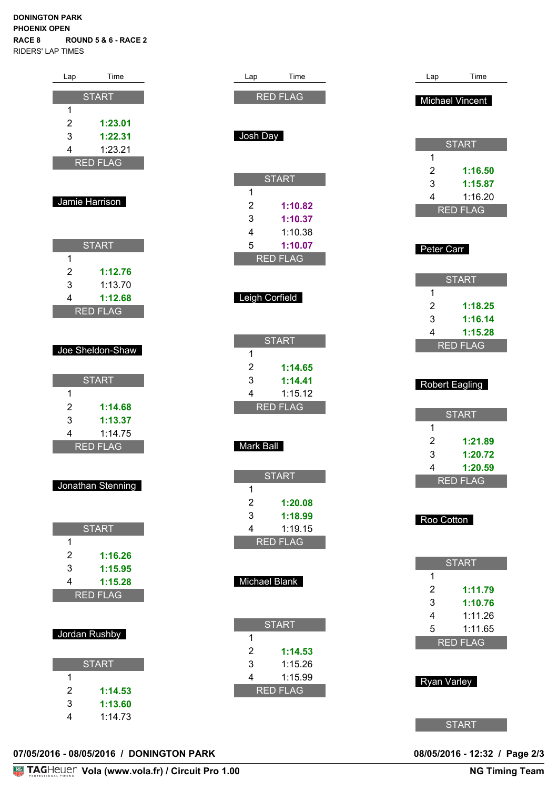#### **DONINGTON PARK PHOENIX OPEN RACE 8 ROUND 5 & 6 - RACE 2** RIDERS' LAP TIMES

| Lap                     | Time               |
|-------------------------|--------------------|
|                         | <b>START</b>       |
| 1                       |                    |
|                         |                    |
| $\overline{c}$          | 1:23.01            |
| 3                       | 1:22.31            |
| $\overline{4}$          | 1:23.21            |
|                         | <b>RED FLAG</b>    |
|                         |                    |
|                         |                    |
|                         | Jamie Harrison     |
|                         |                    |
|                         |                    |
|                         | <b>START</b>       |
| 1                       |                    |
|                         |                    |
| $\overline{c}$          | 1:12.76            |
| 3                       | 1:13.70            |
| $\overline{4}$          | 1:12.68            |
|                         | <b>RED FLAG</b>    |
|                         |                    |
|                         |                    |
|                         | Joe Sheldon-Shaw   |
|                         |                    |
|                         | <b>START</b>       |
| 1                       |                    |
| $\overline{c}$          |                    |
| 3                       | 1:14.68            |
| $\overline{\mathbf{4}}$ | 1:13.37            |
|                         | 1:14.75            |
|                         | <b>RED FLAG</b>    |
|                         |                    |
|                         |                    |
|                         | Jonathan Stenning  |
|                         |                    |
|                         |                    |
|                         | <b>START</b>       |
| 1                       |                    |
| $\overline{c}$          | 1:16.26            |
| 3                       | 1:15.95            |
| $\overline{4}$          | 1:15.28            |
|                         | <b>RED FLAG</b>    |
|                         |                    |
|                         |                    |
|                         |                    |
|                         | Jordan Rushby      |
|                         |                    |
|                         | <b>START</b>       |
| 1                       |                    |
| $\overline{c}$          | 1:14.53            |
|                         |                    |
|                         |                    |
| 3<br>$\overline{4}$     | 1:13.60<br>1:14.73 |

| Lap                 | Time                   |
|---------------------|------------------------|
|                     | <b>RED FLAG</b>        |
|                     |                        |
| Josh Day            |                        |
|                     |                        |
|                     |                        |
|                     | <b>START</b>           |
| 1<br>$\overline{c}$ | 1:10.82                |
| 3                   | 1:10.37                |
| 4                   | 1:10.38                |
| 5                   | 1:10.07                |
|                     | <b>RED FLAG</b>        |
|                     |                        |
| Leigh Corfield      |                        |
|                     |                        |
|                     | <b>START</b>           |
| 1                   |                        |
| $\overline{c}$      | 1:14.65                |
| 3<br>4              | 1:14.41<br>1:15.12     |
|                     |                        |
|                     | <b>RED FLAG</b>        |
|                     |                        |
|                     |                        |
| Mark Ball           |                        |
|                     |                        |
| 1                   | <b>START</b>           |
| $\overline{c}$      | 1:20.08                |
| 3                   | 1:18.99                |
| $\overline{4}$      | 1:19.15<br><b>FLAG</b> |
|                     |                        |
|                     |                        |
| Michael Blank       |                        |
|                     |                        |
|                     | <b>START</b>           |
| 1                   |                        |
| $\overline{c}$<br>3 | 1:14.53<br>1:15.26     |
| 4                   | 1:15.99                |
|                     | <b>RED FLAG</b>        |
|                     |                        |

|                                            | <b>Michael Vincent</b>                                                  |
|--------------------------------------------|-------------------------------------------------------------------------|
| 1<br>$\overline{c}$<br>3<br>$\overline{4}$ | <b>START</b><br>1:16.50<br>1:15.87<br>1:16.20<br><b>RED FLAG</b>        |
| Peter Carr                                 |                                                                         |
| 1<br>$\overline{c}$<br>3<br>$\overline{4}$ | <b>START</b><br>1:18.25<br>1:16.14<br>1:15.28<br><b>RED FLAG</b>        |
|                                            | Robert Eagling                                                          |
| 1<br>$\overline{c}$<br>3<br>4              | <b>START</b><br>1:21.89<br>1:20.72<br>1:20.59<br><b>RED FLAG</b>        |
| Roo Cotton                                 |                                                                         |
| 1<br>$\overline{c}$<br>3<br>4<br>5<br>R    | <b>START</b><br>1:11.79<br>1:10.76<br>1:11.26<br>1:11.65<br><b>FLAG</b> |
| Ryan Varley                                |                                                                         |
|                                            | <b>START</b>                                                            |

Lap Time

# **07/05/2016 - 08/05/2016 / DONINGTON PARK 08/05/2016 - 12:32 / Page 2/3**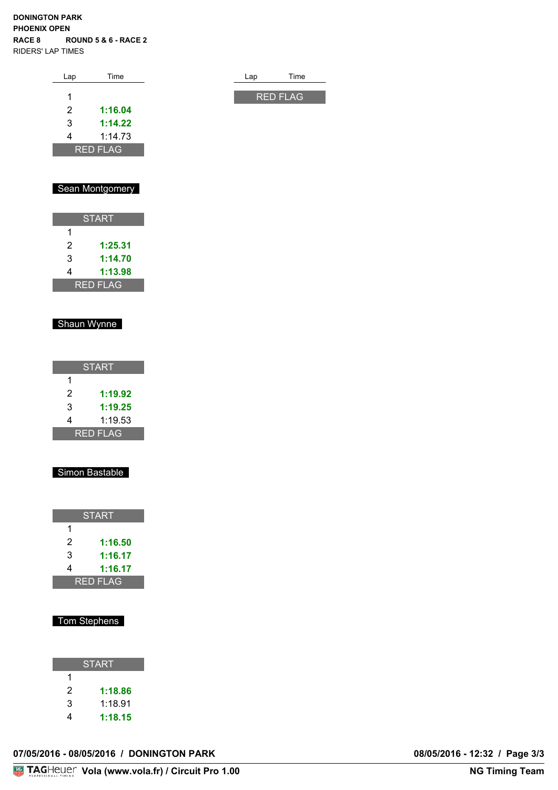#### **DONINGTON PARK PHOENIX OPEN RACE 8 ROUND 5 & 6 - RACE 2** RIDERS' LAP TIMES

| Lap | Time            | Lap | Time            |
|-----|-----------------|-----|-----------------|
|     |                 |     |                 |
| 1   |                 |     | <b>RED FLAG</b> |
| 2   | 1:16.04         |     |                 |
| 3   | 1:14.22         |     |                 |
| 4   | 1:14.73         |     |                 |
|     | <b>RED FLAG</b> |     |                 |

# Sean Montgomery

| <b>START</b>    |         |  |  |  |  |  |  |  |  |
|-----------------|---------|--|--|--|--|--|--|--|--|
| 1               |         |  |  |  |  |  |  |  |  |
| 2               | 1:25.31 |  |  |  |  |  |  |  |  |
| 3               | 1:14.70 |  |  |  |  |  |  |  |  |
| 4               | 1:13.98 |  |  |  |  |  |  |  |  |
| <b>RED FLAG</b> |         |  |  |  |  |  |  |  |  |

### Shaun Wynne

| <b>START</b>    |         |  |  |  |  |  |  |  |  |  |
|-----------------|---------|--|--|--|--|--|--|--|--|--|
| 1               |         |  |  |  |  |  |  |  |  |  |
| 2               | 1:19.92 |  |  |  |  |  |  |  |  |  |
| 3               | 1:19.25 |  |  |  |  |  |  |  |  |  |
| 4               | 1:19.53 |  |  |  |  |  |  |  |  |  |
| <b>RED FLAG</b> |         |  |  |  |  |  |  |  |  |  |

#### Simon Bastable

| <b>START</b>    |         |  |  |  |  |  |  |  |  |
|-----------------|---------|--|--|--|--|--|--|--|--|
| 1               |         |  |  |  |  |  |  |  |  |
| 2               | 1:16.50 |  |  |  |  |  |  |  |  |
| 3               | 1:16.17 |  |  |  |  |  |  |  |  |
| 4               | 1:16.17 |  |  |  |  |  |  |  |  |
| <u>RED FLAG</u> |         |  |  |  |  |  |  |  |  |

### Tom Stephens

| <b>START</b> |         |  |  |  |  |  |  |  |  |  |
|--------------|---------|--|--|--|--|--|--|--|--|--|
| 1            |         |  |  |  |  |  |  |  |  |  |
| 2            | 1:18.86 |  |  |  |  |  |  |  |  |  |
| 3            | 1:18.91 |  |  |  |  |  |  |  |  |  |
| 4            | 1:18.15 |  |  |  |  |  |  |  |  |  |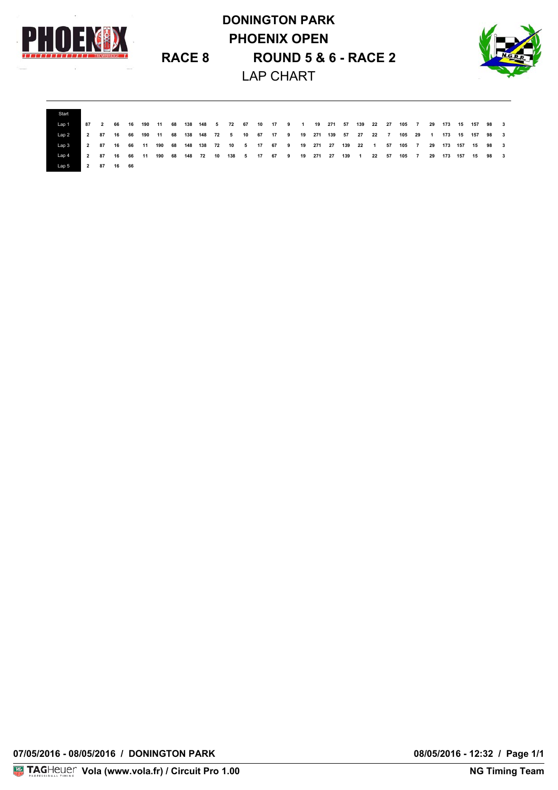

# **DONINGTON PARK PHOENIX OPEN RACE 8 ROUND 5 & 6 - RACE 2** LAP CHART



| Start   |  |            |  |  |  |  |  |  |  |  |  |  |  |  |                                                                                                                            |  |
|---------|--|------------|--|--|--|--|--|--|--|--|--|--|--|--|----------------------------------------------------------------------------------------------------------------------------|--|
| 'Lap 1. |  |            |  |  |  |  |  |  |  |  |  |  |  |  | 87  2  66  16  190  11  68  138  148  5  72  67  10  17  9   1  19  271  57  139  22  27  105  7  29  173  15  157  98   3 |  |
| l an 2  |  |            |  |  |  |  |  |  |  |  |  |  |  |  | 2 87 16 66 190 11 68 138 148 72 5 10 67 17 9 19 271 139 57 27 22 7 105 29 1 173 15 157 98 3                                |  |
|         |  |            |  |  |  |  |  |  |  |  |  |  |  |  | 2 87 16 66 11 190 68 148 138 72 10 5 17 67 9 19 271 27 139 22 1 57 105 7 29 173 157 15 98 3                                |  |
|         |  |            |  |  |  |  |  |  |  |  |  |  |  |  | 2 87 16 66 11 190 68 148 72 10 138 5 17 67 9 19 271 27 139 1 22 57 105 7 29 173 157 15 98 3                                |  |
|         |  | 2 87 16 66 |  |  |  |  |  |  |  |  |  |  |  |  |                                                                                                                            |  |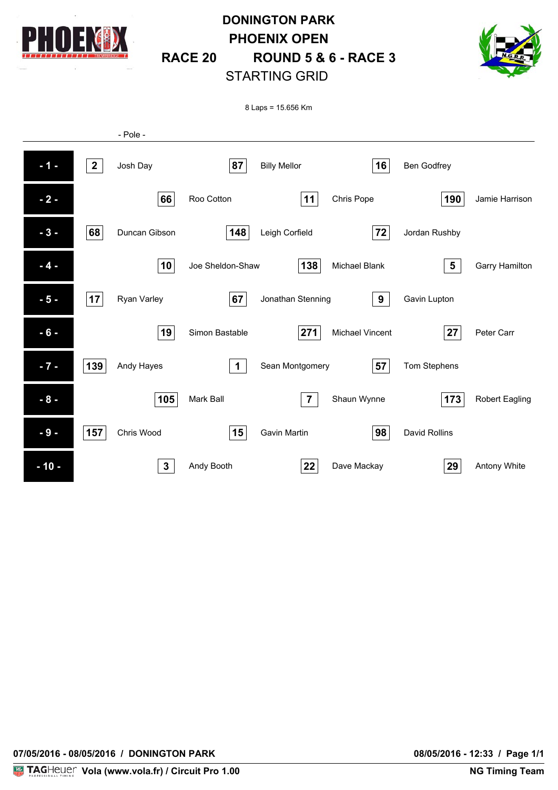

# **DONINGTON PARK PHOENIX OPEN RACE 20 ROUND 5 & 6 - RACE 3** STARTING GRID



8 Laps = 15.656 Km

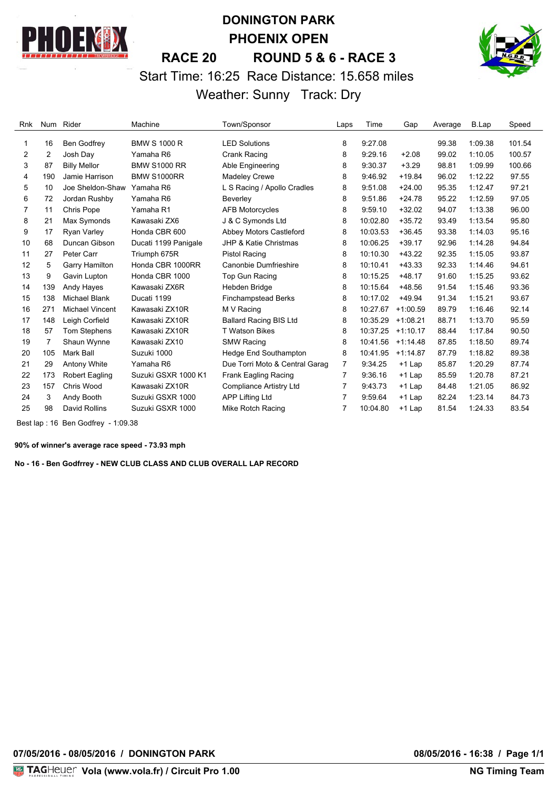

# **DONINGTON PARK PHOENIX OPEN RACE 20 ROUND 5 & 6 - RACE 3** Start Time: 16:25 Race Distance: 15.658 miles Weather: Sunny Track: Dry



| Rnk | Num | Rider                  | Machine              | Town/Sponsor                   | Laps | Time     | Gap        | Average | B.Lap   | Speed  |
|-----|-----|------------------------|----------------------|--------------------------------|------|----------|------------|---------|---------|--------|
| 1   | 16  | <b>Ben Godfrey</b>     | <b>BMW S 1000 R</b>  | <b>LED Solutions</b>           | 8    | 9:27.08  |            | 99.38   | 1:09.38 | 101.54 |
| 2   | 2   | Josh Day               | Yamaha R6            | Crank Racing                   | 8    | 9:29.16  | $+2.08$    | 99.02   | 1:10.05 | 100.57 |
| 3   | 87  | <b>Billy Mellor</b>    | <b>BMW S1000 RR</b>  | Able Engineering               | 8    | 9:30.37  | $+3.29$    | 98.81   | 1:09.99 | 100.66 |
| 4   | 190 | Jamie Harrison         | <b>BMW S1000RR</b>   | <b>Madeley Crewe</b>           | 8    | 9:46.92  | $+19.84$   | 96.02   | 1:12.22 | 97.55  |
| 5   | 10  | Joe Sheldon-Shaw       | Yamaha R6            | L S Racing / Apollo Cradles    | 8    | 9:51.08  | $+24.00$   | 95.35   | 1:12.47 | 97.21  |
| 6   | 72  | Jordan Rushby          | Yamaha R6            | Beverley                       | 8    | 9:51.86  | $+24.78$   | 95.22   | 1:12.59 | 97.05  |
| 7   | 11  | Chris Pope             | Yamaha R1            | <b>AFB Motorcycles</b>         | 8    | 9:59.10  | $+32.02$   | 94.07   | 1:13.38 | 96.00  |
| 8   | 21  | Max Symonds            | Kawasaki ZX6         | J & C Symonds Ltd              | 8    | 10:02.80 | $+35.72$   | 93.49   | 1:13.54 | 95.80  |
| 9   | 17  | Ryan Varley            | Honda CBR 600        | Abbey Motors Castleford        | 8    | 10:03.53 | $+36.45$   | 93.38   | 1:14.03 | 95.16  |
| 10  | 68  | Duncan Gibson          | Ducati 1199 Panigale | JHP & Katie Christmas          | 8    | 10:06.25 | $+39.17$   | 92.96   | 1:14.28 | 94.84  |
| 11  | 27  | Peter Carr             | Triumph 675R         | Pistol Racing                  | 8    | 10:10.30 | $+43.22$   | 92.35   | 1:15.05 | 93.87  |
| 12  | 5   | Garry Hamilton         | Honda CBR 1000RR     | Canonbie Dumfrieshire          | 8    | 10:10.41 | $+43.33$   | 92.33   | 1:14.46 | 94.61  |
| 13  | 9   | Gavin Lupton           | Honda CBR 1000       | Top Gun Racing                 | 8    | 10:15.25 | $+48.17$   | 91.60   | 1:15.25 | 93.62  |
| 14  | 139 | Andy Hayes             | Kawasaki ZX6R        | Hebden Bridge                  | 8    | 10:15.64 | $+48.56$   | 91.54   | 1:15.46 | 93.36  |
| 15  | 138 | <b>Michael Blank</b>   | Ducati 1199          | <b>Finchampstead Berks</b>     | 8    | 10:17.02 | $+49.94$   | 91.34   | 1:15.21 | 93.67  |
| 16  | 271 | <b>Michael Vincent</b> | Kawasaki ZX10R       | M V Racing                     | 8    | 10:27.67 | $+1:00.59$ | 89.79   | 1:16.46 | 92.14  |
| 17  | 148 | Leigh Corfield         | Kawasaki ZX10R       | <b>Ballard Racing BIS Ltd</b>  | 8    | 10:35.29 | $+1:08.21$ | 88.71   | 1:13.70 | 95.59  |
| 18  | 57  | Tom Stephens           | Kawasaki ZX10R       | <b>T Watson Bikes</b>          | 8    | 10:37.25 | $+1:10.17$ | 88.44   | 1:17.84 | 90.50  |
| 19  | 7   | Shaun Wynne            | Kawasaki ZX10        | <b>SMW Racing</b>              | 8    | 10:41.56 | $+1:14.48$ | 87.85   | 1:18.50 | 89.74  |
| 20  | 105 | Mark Ball              | Suzuki 1000          | Hedge End Southampton          | 8    | 10:41.95 | $+1:14.87$ | 87.79   | 1:18.82 | 89.38  |
| 21  | 29  | Antony White           | Yamaha R6            | Due Torri Moto & Central Garag | 7    | 9:34.25  | +1 Lap     | 85.87   | 1:20.29 | 87.74  |
| 22  | 173 | <b>Robert Eagling</b>  | Suzuki GSXR 1000 K1  | Frank Eagling Racing           | 7    | 9:36.16  | $+1$ Lap   | 85.59   | 1:20.78 | 87.21  |
| 23  | 157 | Chris Wood             | Kawasaki ZX10R       | Compliance Artistry Ltd        | 7    | 9:43.73  | $+1$ Lap   | 84.48   | 1:21.05 | 86.92  |
| 24  | 3   | Andy Booth             | Suzuki GSXR 1000     | APP Lifting Ltd                | 7    | 9:59.64  | +1 Lap     | 82.24   | 1:23.14 | 84.73  |
| 25  | 98  | David Rollins          | Suzuki GSXR 1000     | Mike Rotch Racing              | 7    | 10:04.80 | $+1$ Lap   | 81.54   | 1:24.33 | 83.54  |

Best lap : 16 Ben Godfrey - 1:09.38

**90% of winner's average race speed - 73.93 mph**

**No - 16 - Ben Godfrrey - NEW CLUB CLASS AND CLUB OVERALL LAP RECORD**

**07/05/2016 - 08/05/2016 / DONINGTON PARK 08/05/2016 - 16:38 / Page 1/1**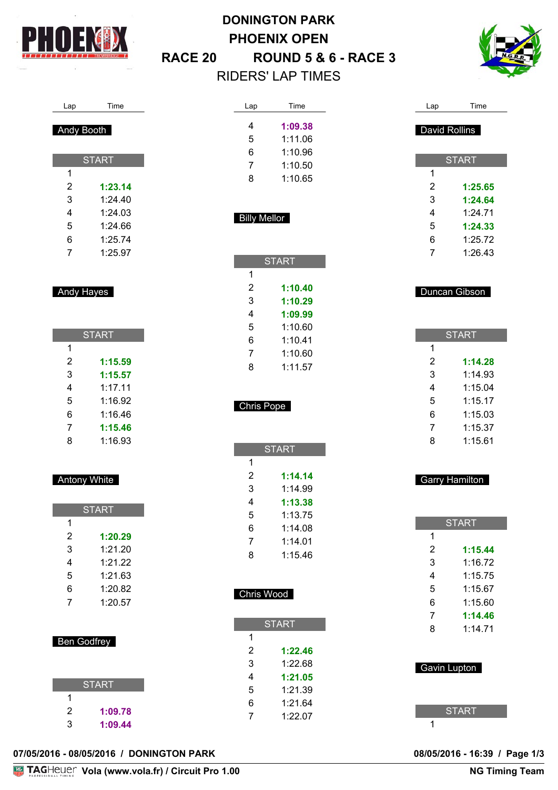

# **DONINGTON PARK PHOENIX OPEN RACE 20 ROUND 5 & 6 - RACE 3** RIDERS' LAP TIMES



### Lap Time

### Andy Booth

| <b>START</b> |         |  |
|--------------|---------|--|
| 1            |         |  |
| 2            | 1:23.14 |  |
| 3            | 1:24.40 |  |
| 4            | 1:24.03 |  |
| 5            | 1:24.66 |  |
| 6            | 1:25.74 |  |
| 7            | 1:25.97 |  |

Andy Hayes

| <b>START</b> |         |  |
|--------------|---------|--|
| 1            |         |  |
| 2            | 1:15.59 |  |
| 3            | 1:15.57 |  |
| 4            | 1:17.11 |  |
| 5            | 1:16.92 |  |
| 6            | 1:16.46 |  |
| 7            | 1:15.46 |  |
| 8            | 1:16.93 |  |

### Antony White

| <b>START</b> |         |  |
|--------------|---------|--|
| 1            |         |  |
| 2            | 1:20.29 |  |
| 3            | 1:21.20 |  |
| 4            | 1:21.22 |  |
| 5            | 1:21.63 |  |
| 6            | 1:20.82 |  |
| 7            | 1:20.57 |  |

| Ben Godfrey  |         |  |
|--------------|---------|--|
| <b>START</b> |         |  |
|              |         |  |
| 2            | 1:09.78 |  |
| 3            | 1:09.44 |  |

| Lap | <b>Time</b> |
|-----|-------------|
| 4   | 1:09.38     |
| 5   | 1:11.06     |
| ิค  | 1:10.96     |

| 7 | 1:10.50 |
|---|---------|
| 8 | 1:10.65 |

### Billy Mellor

×

| <b>START</b> |         |  |
|--------------|---------|--|
| 1            |         |  |
| 2            | 1:10.40 |  |
| 3            | 1:10.29 |  |
| 4            | 1:09.99 |  |
| 5            | 1:10.60 |  |
| 6            | 1:10.41 |  |
| 7            | 1:10.60 |  |
| 8            | 1.1157  |  |
|              |         |  |

# Chris Pope

|   | <b>START</b> |
|---|--------------|
| 1 |              |
| 2 | 1:14.14      |
| 3 | 1:14.99      |
| 4 | 1:13.38      |
| 5 | 1:13.75      |
| 6 | 1:14.08      |
| 7 | 1:14.01      |
| 8 | 1:15.46      |

### Chris Wood

I.

| <b>START</b> |         |  |
|--------------|---------|--|
| 1            |         |  |
| 2            | 1:22.46 |  |
| 3            | 1:22.68 |  |
| 4            | 1:21.05 |  |
| 5            | 1:21.39 |  |
| 6            | 1:21.64 |  |
| 7            | 1:22.07 |  |

| Lap            | Time          |
|----------------|---------------|
| David Rollins  |               |
|                |               |
|                | <b>START</b>  |
| 1              |               |
| $\overline{c}$ | 1:25.65       |
| 3              | 1:24.64       |
| 4              | 1:24.71       |
| 5              | 1:24.33       |
| 6              | 1:25.72       |
| $\overline{7}$ | 1:26.43       |
|                |               |
|                |               |
|                |               |
|                | Duncan Gibson |
|                |               |
|                |               |
|                | <b>START</b>  |
| 1              |               |
| $\overline{c}$ | 1:14.28       |
| 3              | 1:14.93       |
| 4              | 1:15.04       |
| 5              | 1:15.17       |
| 6              | 1:15.03       |
| $\overline{7}$ | 1:15.37       |
| 8              | 1:15.61       |
|                |               |

|                     | <b>START</b> |
|---------------------|--------------|
| 1                   |              |
| 2                   | 1:15.44      |
| 3                   | 1:16.72      |
| 4                   | 1:15.75      |
| 5                   | 1:15.67      |
| 6                   | 1:15.60      |
| 7                   | 1:14.46      |
| 8                   | 1:14.71      |
| <b>Gavin Lupton</b> |              |

Garry Hamilton

### **07/05/2016 - 08/05/2016 / DONINGTON PARK 08/05/2016 - 16:39 / Page 1/3**

08/05/2016 - 16:39 / Page 1/3<br>NG Timing Team

**START**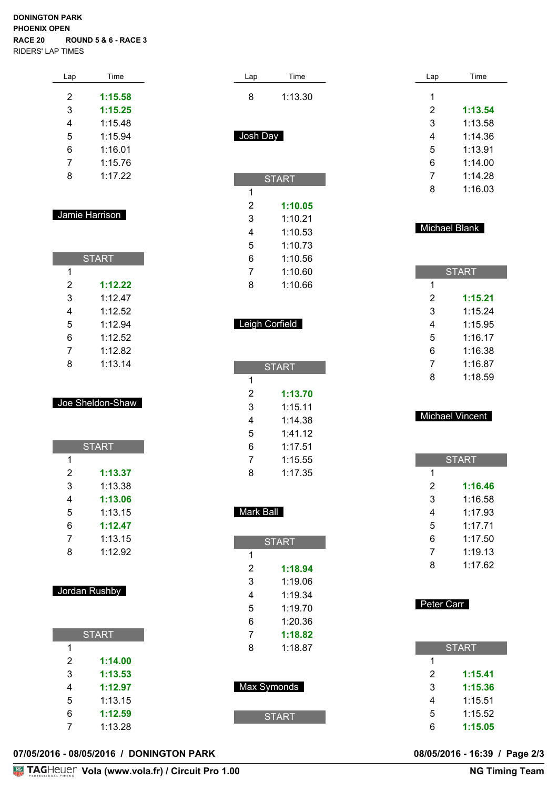#### **DONINGTON PARK PHOENIX OPEN RACE 20 ROUND 5 & 6 - RACE 3** RIDERS' LAP TIMES

| Lap | Time    |
|-----|---------|
| 2   | 1:15.58 |
| 3   | 1:15.25 |
| 4   | 1:15.48 |
| 5   | 1:15.94 |
| 6   | 1:16.01 |
| 7   | 1:15.76 |
| 8   | 1:17.22 |
|     |         |

### Jamie Harrison

| <b>START</b> |         |  |
|--------------|---------|--|
| 1            |         |  |
| 2            | 1:12.22 |  |
| 3            | 1:12.47 |  |
| 4            | 1:12.52 |  |
| 5            | 1:12.94 |  |
| 6            | 1:12.52 |  |
| 7            | 1:12.82 |  |
| 8            | 1:13.14 |  |

#### Joe Sheldon-Shaw

| <b>START</b> |         |  |
|--------------|---------|--|
| 1            |         |  |
| 2            | 1:13.37 |  |
| 3            | 1:13.38 |  |
| 4            | 1:13.06 |  |
| 5            | 1:13.15 |  |
| 6            | 1:12.47 |  |
| 7            | 1:13.15 |  |
| 8            | 1:12.92 |  |

### Jordan Rushby

|   | <b>START</b> |
|---|--------------|
| 1 |              |
| 2 | 1:14.00      |
| 3 | 1:13.53      |
| 4 | 1:12.97      |
| 5 | 1:13.15      |
| 6 | 1:12.59      |
|   | 1:13.28      |

| Lap                 | Time               |
|---------------------|--------------------|
| 8                   | 1:13.30            |
|                     |                    |
| Josh Day            |                    |
|                     |                    |
|                     | <b>START</b>       |
| 1                   |                    |
| $\overline{c}$      | 1:10.05            |
| 3<br>$\overline{4}$ | 1:10.21<br>1:10.53 |
| 5                   | 1:10.73            |
| 6                   | 1:10.56            |
| 7<br>8              | 1:10.60<br>1:10.66 |
|                     |                    |
|                     | Leigh Corfield     |
|                     |                    |
|                     |                    |
|                     | <b>START</b>       |
| 1<br>$\overline{2}$ | 1:13.70            |
| 3                   | 1:15.11            |
| 4<br>5              | 1:14.38<br>1:41.12 |
| 6                   | 1:17.51            |
| 7                   | 1:15.55            |
| 8                   | 1:17.35            |
|                     |                    |
| Mark Ball           |                    |
|                     | <b>START</b>       |
| 1                   |                    |
| $\overline{c}$<br>3 | 1:18.94<br>1:19.06 |
| 4                   | 1:19.34            |
| 5                   | 1:19.70            |
| 6<br>$\overline{7}$ | 1:20.36<br>1:18.82 |
| 8                   | 1:18.87            |
|                     |                    |
|                     | Max Symonds        |
|                     |                    |
|                     | <b>START</b>       |

| Lap | Time    |
|-----|---------|
| 1   |         |
| 2   | 1:13.54 |
| 3   | 1:13.58 |
| 4   | 1:14.36 |
| 5   | 1:13.91 |
| 6   | 1:14.00 |
| 7   | 1:14.28 |
| 8   | 1:16.03 |

### Michael Blank

| <b>START</b> |         |  |
|--------------|---------|--|
| 1            |         |  |
| 2            | 1:15.21 |  |
| 3            | 1:15.24 |  |
| 4            | 1:15.95 |  |
| 5            | 1:16.17 |  |
| 6            | 1:16.38 |  |
| 7            | 1:16.87 |  |
| 8            | 1:18.59 |  |

#### Michael Vincent

| <b>START</b> |  |  |
|--------------|--|--|
|              |  |  |
| 1:16.46      |  |  |
| 1:16.58      |  |  |
| 1:17.93      |  |  |
| 1:17.71      |  |  |
| 1:17.50      |  |  |
| 1:19.13      |  |  |
| 1:17.62      |  |  |
|              |  |  |

| Peter Carr |              |  |
|------------|--------------|--|
|            | <b>START</b> |  |
| 1          |              |  |
| 2          | 1:15.41      |  |
| 3          | 1:15.36      |  |
| 4          | 1:15.51      |  |
| 5          | 1:15.52      |  |
| 6          | 1:15.05      |  |

#### **07/05/2016 - 08/05/2016 / DONINGTON PARK 08/05/2016 - 16:39 / Page 2/3**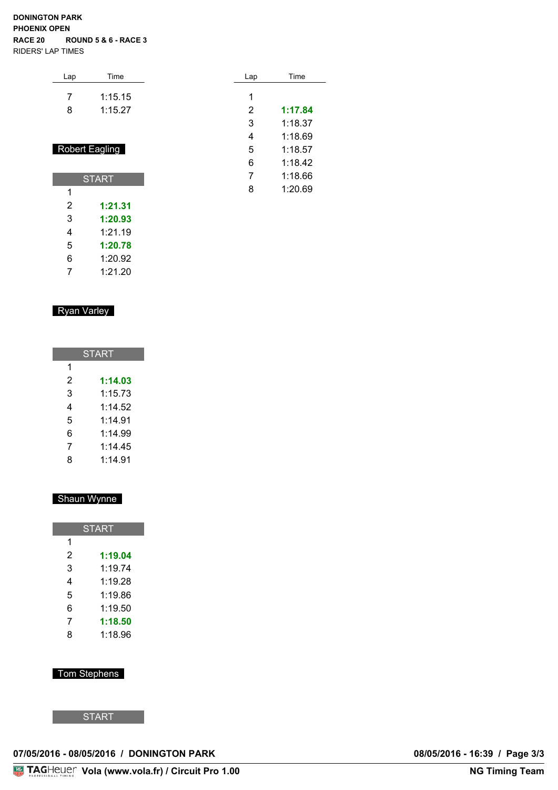#### **DONINGTON PARK PHOENIX OPEN RACE 20 ROUND 5 & 6 - RACE 3** RIDERS' LAP TIMES

| Lap | Time                  | Lap | Time    |
|-----|-----------------------|-----|---------|
| 7   | 1:15.15               | 1   |         |
|     |                       |     |         |
| 8   | 1:15.27               | 2   | 1:17.84 |
|     |                       | 3   | 1:18.37 |
|     |                       | 4   | 1:18.69 |
|     | <b>Robert Eagling</b> | 5   | 1:18.57 |
|     |                       | 6   | 1:18.42 |
|     | RT∆RT                 |     | 1:18.66 |

1:20.69

| 2 | 1:21.31 |
|---|---------|
| 3 | 1:20.93 |
| 4 | 1:21.19 |
| 5 | 1:20.78 |
| 6 | 1:20.92 |
| 7 | 1:21.20 |
|   |         |

**START** 

### Ryan Varley

| START |         |  |
|-------|---------|--|
| 1     |         |  |
| 2     | 1:14.03 |  |
| 3     | 1:15.73 |  |
| 4     | 1:14.52 |  |
| 5     | 1:14.91 |  |
| 6     | 1:14.99 |  |
| 7     | 1:14.45 |  |
| 8     | 1:14.91 |  |

### Shaun Wynne

| <b>START</b> |         |  |
|--------------|---------|--|
| 1            |         |  |
| 2            | 1:19.04 |  |
| 3            | 1:19.74 |  |
| 4            | 1:19.28 |  |
| 5            | 1:19.86 |  |
| 6            | 1:19.50 |  |
| 7            | 1:18.50 |  |
| 8            | 1:18.96 |  |

### Tom Stephens

**START** 

### **07/05/2016 - 08/05/2016 / DONINGTON PARK 08/05/2016 - 16:39 / Page 3/3**